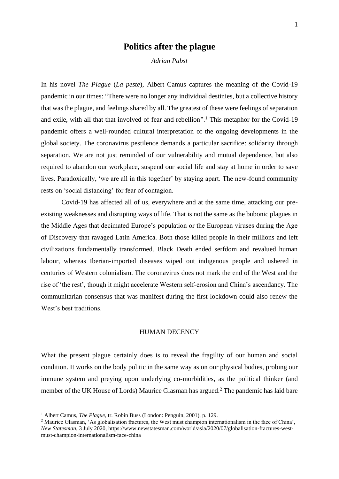# **Politics after the plague**

*Adrian Pabst*

In his novel *The Plague* (*La peste*), Albert Camus captures the meaning of the Covid-19 pandemic in our times: "There were no longer any individual destinies, but a collective history that was the plague, and feelings shared by all. The greatest of these were feelings of separation and exile, with all that that involved of fear and rebellion". <sup>1</sup> This metaphor for the Covid-19 pandemic offers a well-rounded cultural interpretation of the ongoing developments in the global society. The coronavirus pestilence demands a particular sacrifice: solidarity through separation. We are not just reminded of our vulnerability and mutual dependence, but also required to abandon our workplace, suspend our social life and stay at home in order to save lives. Paradoxically, 'we are all in this together' by staying apart. The new-found community rests on 'social distancing' for fear of contagion.

Covid-19 has affected all of us, everywhere and at the same time, attacking our preexisting weaknesses and disrupting ways of life. That is not the same as the bubonic plagues in the Middle Ages that decimated Europe's population or the European viruses during the Age of Discovery that ravaged Latin America. Both those killed people in their millions and left civilizations fundamentally transformed. Black Death ended serfdom and revalued human labour, whereas Iberian-imported diseases wiped out indigenous people and ushered in centuries of Western colonialism. The coronavirus does not mark the end of the West and the rise of 'the rest', though it might accelerate Western self-erosion and China's ascendancy. The communitarian consensus that was manifest during the first lockdown could also renew the West's best traditions.

#### HUMAN DECENCY

What the present plague certainly does is to reveal the fragility of our human and social condition. It works on the body politic in the same way as on our physical bodies, probing our immune system and preying upon underlying co-morbidities, as the political thinker (and member of the UK House of Lords) Maurice Glasman has argued.<sup>2</sup> The pandemic has laid bare

<sup>1</sup> Albert Camus, *The Plague*, tr. Robin Buss (London: Penguin, 2001), p. 129.

<sup>2</sup> Maurice Glasman, 'As globalisation fractures, the West must champion internationalism in the face of China', *New Statesman*, 3 July 2020, https://www.newstatesman.com/world/asia/2020/07/globalisation-fractures-westmust-champion-internationalism-face-china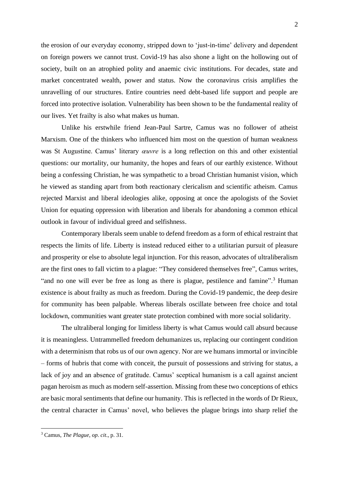the erosion of our everyday economy, stripped down to 'just-in-time' delivery and dependent on foreign powers we cannot trust. Covid-19 has also shone a light on the hollowing out of society, built on an atrophied polity and anaemic civic institutions. For decades, state and market concentrated wealth, power and status. Now the coronavirus crisis amplifies the unravelling of our structures. Entire countries need debt-based life support and people are forced into protective isolation. Vulnerability has been shown to be the fundamental reality of our lives. Yet frailty is also what makes us human.

Unlike his erstwhile friend Jean-Paul Sartre, Camus was no follower of atheist Marxism. One of the thinkers who influenced him most on the question of human weakness was St Augustine. Camus' literary *œuvre* is a long reflection on this and other existential questions: our mortality, our humanity, the hopes and fears of our earthly existence. Without being a confessing Christian, he was sympathetic to a broad Christian humanist vision, which he viewed as standing apart from both reactionary clericalism and scientific atheism. Camus rejected Marxist and liberal ideologies alike, opposing at once the apologists of the Soviet Union for equating oppression with liberation and liberals for abandoning a common ethical outlook in favour of individual greed and selfishness.

Contemporary liberals seem unable to defend freedom as a form of ethical restraint that respects the limits of life. Liberty is instead reduced either to a utilitarian pursuit of pleasure and prosperity or else to absolute legal injunction. For this reason, advocates of ultraliberalism are the first ones to fall victim to a plague: "They considered themselves free", Camus writes, "and no one will ever be free as long as there is plague, pestilence and famine".<sup>3</sup> Human existence is about frailty as much as freedom. During the Covid-19 pandemic, the deep desire for community has been palpable. Whereas liberals oscillate between free choice and total lockdown, communities want greater state protection combined with more social solidarity.

The ultraliberal longing for limitless liberty is what Camus would call absurd because it is meaningless. Untrammelled freedom dehumanizes us, replacing our contingent condition with a determinism that robs us of our own agency. Nor are we humans immortal or invincible – forms of hubris that come with conceit, the pursuit of possessions and striving for status, a lack of joy and an absence of gratitude. Camus' sceptical humanism is a call against ancient pagan heroism as much as modern self-assertion. Missing from these two conceptions of ethics are basic moral sentiments that define our humanity. This is reflected in the words of Dr Rieux, the central character in Camus' novel, who believes the plague brings into sharp relief the

<sup>3</sup> Camus, *The Plague*, *op*. *cit*., p. 31.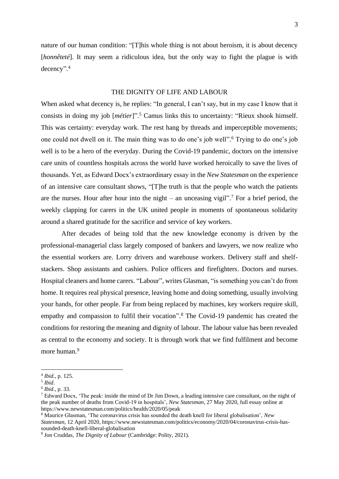nature of our human condition: "[T]his whole thing is not about heroism, it is about decency [*honnêteté*]. It may seem a ridiculous idea, but the only way to fight the plague is with decency". 4

## THE DIGNITY OF LIFE AND LABOUR

When asked what decency is, he replies: "In general, I can't say, but in my case I know that it consists in doing my job [*métier*]". <sup>5</sup> Camus links this to uncertainty: "Rieux shook himself. This was certainty: everyday work. The rest hang by threads and imperceptible movements; one could not dwell on it. The main thing was to do one's job well". <sup>6</sup> Trying to do one's job well is to be a hero of the everyday. During the Covid-19 pandemic, doctors on the intensive care units of countless hospitals across the world have worked heroically to save the lives of thousands. Yet, as Edward Docx's extraordinary essay in the *New Statesman* on the experience of an intensive care consultant shows, "[T]he truth is that the people who watch the patients are the nurses. Hour after hour into the night – an unceasing vigil". <sup>7</sup> For a brief period, the weekly clapping for carers in the UK united people in moments of spontaneous solidarity around a shared gratitude for the sacrifice and service of key workers.

After decades of being told that the new knowledge economy is driven by the professional-managerial class largely composed of bankers and lawyers, we now realize who the essential workers are. Lorry drivers and warehouse workers. Delivery staff and shelfstackers. Shop assistants and cashiers. Police officers and firefighters. Doctors and nurses. Hospital cleaners and home carers. "Labour", writes Glasman, "is something you can't do from home. It requires real physical presence, leaving home and doing something, usually involving your hands, for other people. Far from being replaced by machines, key workers require skill, empathy and compassion to fulfil their vocation". <sup>8</sup> The Covid-19 pandemic has created the conditions for restoring the meaning and dignity of labour. The labour value has been revealed as central to the economy and society. It is through work that we find fulfilment and become more human.<sup>9</sup>

<sup>4</sup> *Ibid*., p. 125.

<sup>5</sup> *Ibid*.

<sup>6</sup> *Ibid*., p. 33.

<sup>7</sup> Edward Docx, 'The peak: inside the mind of Dr Jim Down, a leading intensive care consultant, on the night of the peak number of deaths from Covid-19 in hospitals', *New Statesman*, 27 May 2020, full essay online at https://www.newstatesman.com/politics/health/2020/05/peak

<sup>8</sup> Maurice Glasman, 'The coronavirus crisis has sounded the death knell for liberal globalisation', *New Statesman*, 12 April 2020, https://www.newstatesman.com/politics/economy/2020/04/coronavirus-crisis-hassounded-death-knell-liberal-globalisation

<sup>9</sup> Jon Cruddas, *The Dignity of Labour* (Cambridge: Polity, 2021).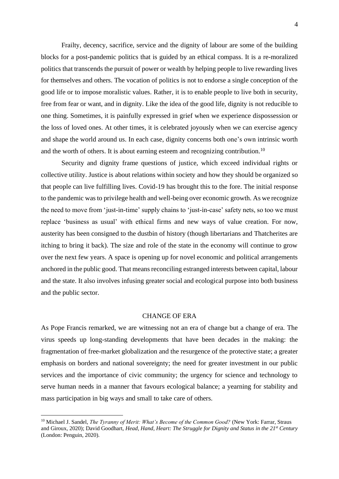Frailty, decency, sacrifice, service and the dignity of labour are some of the building blocks for a post-pandemic politics that is guided by an ethical compass. It is a re-moralized politics that transcends the pursuit of power or wealth by helping people to live rewarding lives for themselves and others. The vocation of politics is not to endorse a single conception of the good life or to impose moralistic values. Rather, it is to enable people to live both in security, free from fear or want, and in dignity. Like the idea of the good life, dignity is not reducible to one thing. Sometimes, it is painfully expressed in grief when we experience dispossession or the loss of loved ones. At other times, it is celebrated joyously when we can exercise agency and shape the world around us. In each case, dignity concerns both one's own intrinsic worth and the worth of others. It is about earning esteem and recognizing contribution.<sup>10</sup>

Security and dignity frame questions of justice, which exceed individual rights or collective utility. Justice is about relations within society and how they should be organized so that people can live fulfilling lives. Covid-19 has brought this to the fore. The initial response to the pandemic was to privilege health and well-being over economic growth. As we recognize the need to move from 'just-in-time' supply chains to 'just-in-case' safety nets, so too we must replace 'business as usual' with ethical firms and new ways of value creation. For now, austerity has been consigned to the dustbin of history (though libertarians and Thatcherites are itching to bring it back). The size and role of the state in the economy will continue to grow over the next few years. A space is opening up for novel economic and political arrangements anchored in the public good. That means reconciling estranged interests between capital, labour and the state. It also involves infusing greater social and ecological purpose into both business and the public sector.

## CHANGE OF ERA

As Pope Francis remarked, we are witnessing not an era of change but a change of era. The virus speeds up long-standing developments that have been decades in the making: the fragmentation of free-market globalization and the resurgence of the protective state; a greater emphasis on borders and national sovereignty; the need for greater investment in our public services and the importance of civic community; the urgency for science and technology to serve human needs in a manner that favours ecological balance; a yearning for stability and mass participation in big ways and small to take care of others.

<sup>&</sup>lt;sup>10</sup> Michael J. Sandel, *The Tyranny of Merit: What's Become of the Common Good?* (New York: Farrar, Straus and Giroux, 2020); David Goodhart, *Head, Hand, Heart: The Struggle for Dignity and Status in the 21st Century* (London: Penguin, 2020).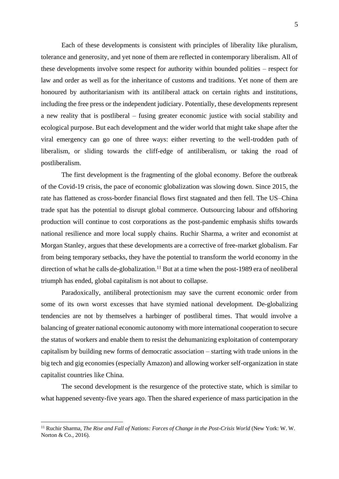Each of these developments is consistent with principles of liberality like pluralism, tolerance and generosity, and yet none of them are reflected in contemporary liberalism. All of these developments involve some respect for authority within bounded polities – respect for law and order as well as for the inheritance of customs and traditions. Yet none of them are honoured by authoritarianism with its antiliberal attack on certain rights and institutions, including the free press or the independent judiciary. Potentially, these developments represent a new reality that is postliberal – fusing greater economic justice with social stability and ecological purpose. But each development and the wider world that might take shape after the viral emergency can go one of three ways: either reverting to the well-trodden path of liberalism, or sliding towards the cliff-edge of antiliberalism, or taking the road of postliberalism.

The first development is the fragmenting of the global economy. Before the outbreak of the Covid-19 crisis, the pace of economic globalization was slowing down. Since 2015, the rate has flattened as cross-border financial flows first stagnated and then fell. The US–China trade spat has the potential to disrupt global commerce. Outsourcing labour and offshoring production will continue to cost corporations as the post-pandemic emphasis shifts towards national resilience and more local supply chains. Ruchir Sharma, a writer and economist at Morgan Stanley, argues that these developments are a corrective of free-market globalism. Far from being temporary setbacks, they have the potential to transform the world economy in the direction of what he calls de-globalization.<sup>11</sup> But at a time when the post-1989 era of neoliberal triumph has ended, global capitalism is not about to collapse.

Paradoxically, antiliberal protectionism may save the current economic order from some of its own worst excesses that have stymied national development. De-globalizing tendencies are not by themselves a harbinger of postliberal times. That would involve a balancing of greater national economic autonomy with more international cooperation to secure the status of workers and enable them to resist the dehumanizing exploitation of contemporary capitalism by building new forms of democratic association – starting with trade unions in the big tech and gig economies (especially Amazon) and allowing worker self-organization in state capitalist countries like China.

The second development is the resurgence of the protective state, which is similar to what happened seventy-five years ago. Then the shared experience of mass participation in the

<sup>&</sup>lt;sup>11</sup> Ruchir Sharma, *The Rise and Fall of Nations: Forces of Change in the Post-Crisis World* (New York: W. W. Norton & Co., 2016).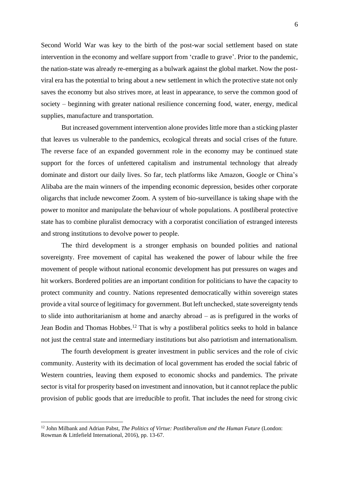Second World War was key to the birth of the post-war social settlement based on state intervention in the economy and welfare support from 'cradle to grave'. Prior to the pandemic, the nation-state was already re-emerging as a bulwark against the global market. Now the postviral era has the potential to bring about a new settlement in which the protective state not only saves the economy but also strives more, at least in appearance, to serve the common good of society – beginning with greater national resilience concerning food, water, energy, medical supplies, manufacture and transportation.

But increased government intervention alone provides little more than a sticking plaster that leaves us vulnerable to the pandemics, ecological threats and social crises of the future. The reverse face of an expanded government role in the economy may be continued state support for the forces of unfettered capitalism and instrumental technology that already dominate and distort our daily lives. So far, tech platforms like Amazon, Google or China's Alibaba are the main winners of the impending economic depression, besides other corporate oligarchs that include newcomer Zoom. A system of bio-surveillance is taking shape with the power to monitor and manipulate the behaviour of whole populations. A postliberal protective state has to combine pluralist democracy with a corporatist conciliation of estranged interests and strong institutions to devolve power to people.

The third development is a stronger emphasis on bounded polities and national sovereignty. Free movement of capital has weakened the power of labour while the free movement of people without national economic development has put pressures on wages and hit workers. Bordered polities are an important condition for politicians to have the capacity to protect community and country. Nations represented democratically within sovereign states provide a vital source of legitimacy for government. But left unchecked, state sovereignty tends to slide into authoritarianism at home and anarchy abroad – as is prefigured in the works of Jean Bodin and Thomas Hobbes.<sup>12</sup> That is why a postliberal politics seeks to hold in balance not just the central state and intermediary institutions but also patriotism and internationalism.

The fourth development is greater investment in public services and the role of civic community. Austerity with its decimation of local government has eroded the social fabric of Western countries, leaving them exposed to economic shocks and pandemics. The private sector is vital for prosperity based on investment and innovation, but it cannot replace the public provision of public goods that are irreducible to profit. That includes the need for strong civic

<sup>12</sup> John Milbank and Adrian Pabst, *The Politics of Virtue: Postliberalism and the Human Future* (London: Rowman & Littlefield International, 2016), pp. 13-67.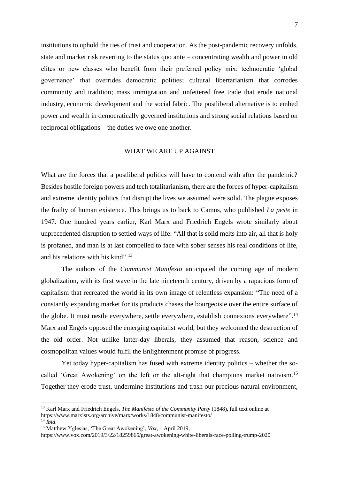institutions to uphold the ties of trust and cooperation. As the post-pandemic recovery unfolds, state and market risk reverting to the status quo ante – concentrating wealth and power in old elites or new classes who benefit from their preferred policy mix: technocratic 'global governance' that overrides democratic polities; cultural libertarianism that corrodes community and tradition; mass immigration and unfettered free trade that erode national industry, economic development and the social fabric. The postliberal alternative is to embed power and wealth in democratically governed institutions and strong social relations based on reciprocal obligations – the duties we owe one another.

#### WHAT WE ARE UP AGAINST

What are the forces that a postliberal politics will have to contend with after the pandemic? Besides hostile foreign powers and tech totalitarianism, there are the forces of hyper-capitalism and extreme identity politics that disrupt the lives we assumed were solid. The plague exposes the frailty of human existence. This brings us to back to Camus, who published *La peste* in 1947. One hundred years earlier, Karl Marx and Friedrich Engels wrote similarly about unprecedented disruption to settled ways of life: "All that is solid melts into air, all that is holy is profaned, and man is at last compelled to face with sober senses his real conditions of life, and his relations with his kind". 13

The authors of the *Communist Manifesto* anticipated the coming age of modern globalization, with its first wave in the late nineteenth century, driven by a rapacious form of capitalism that recreated the world in its own image of relentless expansion: "The need of a constantly expanding market for its products chases the bourgeoisie over the entire surface of the globe. It must nestle everywhere, settle everywhere, establish connexions everywhere".<sup>14</sup> Marx and Engels opposed the emerging capitalist world, but they welcomed the destruction of the old order. Not unlike latter-day liberals, they assumed that reason, science and cosmopolitan values would fulfil the Enlightenment promise of progress.

Yet today hyper-capitalism has fused with extreme identity politics – whether the socalled 'Great Awokening' on the left or the alt-right that champions market nativism.<sup>15</sup> Together they erode trust, undermine institutions and trash our precious natural environment,

<sup>13</sup> Karl Marx and Friedrich Engels, *The Manifesto of the Community Party* (1848), full text online at https://www.marxists.org/archive/marx/works/1848/communist-manifesto/

 $14$  *Ibid.* 

<sup>15</sup> Matthew Yglesias, 'The Great Awokening', *Vox*, 1 April 2019,

https://www.vox.com/2019/3/22/18259865/great-awokening-white-liberals-race-polling-trump-2020